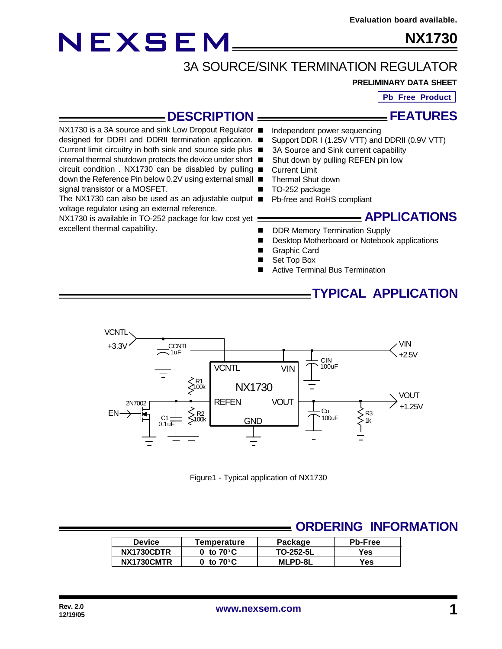# NEXSEM

signal transistor or a MOSFET.

excellent thermal capability.

voltage regulator using an external reference.

NX1730 is available in TO-252 package for low cost yet

**NX1730**

# 3A SOURCE/SINK TERMINATION REGULATOR

#### **PRELIMINARY DATA SHEET**

**Pb Free Product**

**FEATURES**

#### **DESCRIPTION**

- NX1730 is a 3A source and sink Low Dropout Regulator Independent power sequencing
- designed for DDRI and DDRII termination application. Support DDR I (1.25V VTT) and DDRII (0.9V VTT)
- Current limit circuitry in both sink and source side plus 3A Source and Sink current capability
- internal thermal shutdown protects the device under short Shut down by pulling REFEN pin low
- circuit condition . NX1730 can be disabled by pulling **Current Limit**
- down the Reference Pin below 0.2V using external small Thermal Shut down
	- TO-252 package
- The NX1730 can also be used as an adjustable output Pb-free and RoHS compliant

#### **APPLICATIONS**

- DDR Memory Termination Supply
- Desktop Motherboard or Notebook applications
- **Graphic Card**
- Set Top Box
- Active Terminal Bus Termination

#### **TYPICAL APPLICATION**



Figure1 - Typical application of NX1730

### **ORDERING INFORMATION**

| <b>Device</b> | Package<br>Temperature          |                | <b>Pb-Free</b> |  |  |
|---------------|---------------------------------|----------------|----------------|--|--|
| NX1730CDTR    | $0\,$ to 70 $^{\rm o}$ C $\,$   | TO-252-5L      | Yes            |  |  |
| NX1730CMTR    | 0 to 70 $^{\rm o}$ C $^{\rm o}$ | <b>MLPD-8L</b> | Yes.           |  |  |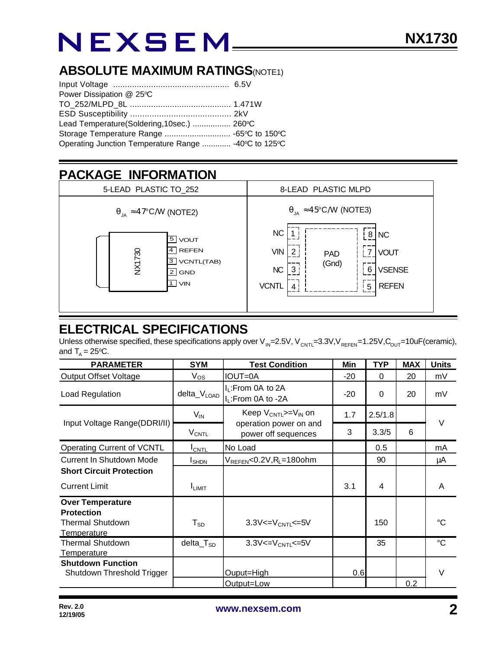## **ABSOLUTE MAXIMUM RATINGS(NOTE1)**

| Power Dissipation @ 25°C                             |  |  |  |
|------------------------------------------------------|--|--|--|
|                                                      |  |  |  |
|                                                      |  |  |  |
| Lead Temperature(Soldering, 10sec.)  260°C           |  |  |  |
|                                                      |  |  |  |
| Operating Junction Temperature Range  -40°C to 125°C |  |  |  |

## **PACKAGE INFORMATION**



## **ELECTRICAL SPECIFICATIONS**

Unless otherwise specified, these specifications apply over V<sub>IN</sub>=2.5V, V<sub>CNTL</sub>=3.3V,V<sub>REFEN</sub>=1.25V,C<sub>OUT</sub>=10uF(ceramic), and  $T_{A} = 25$ °C.

| <b>PARAMETER</b>                                                                              | <b>SYM</b>              | <b>Test Condition</b>                                                       | Min   | <b>TYP</b> | <b>MAX</b> | <b>Units</b>    |
|-----------------------------------------------------------------------------------------------|-------------------------|-----------------------------------------------------------------------------|-------|------------|------------|-----------------|
| <b>Output Offset Voltage</b>                                                                  | $V_{OS}$                | <b>IOUT=0A</b>                                                              | $-20$ | $\Omega$   | 20         | mV              |
| Load Regulation                                                                               | delta_V <sub>LOAD</sub> | $I_L$ : From 0A to 2A<br>I <sub>L</sub> :From 0A to -2A                     | $-20$ | $\Omega$   | 20         | mV              |
| Input Voltage Range(DDRI/II)                                                                  | $V_{IN}$                | Keep $V_{CNTL}>=V_{IN}$ on<br>operation power on and<br>power off sequences | 1.7   | 2.5/1.8    |            | $\vee$          |
|                                                                                               | <b>V<sub>CNTL</sub></b> |                                                                             | 3     | 3.3/5      | 6          |                 |
| Operating Current of VCNTL                                                                    | $I_{\text{CNTL}}$       | No Load                                                                     |       | 0.5        |            | mA              |
| Current In Shutdown Mode                                                                      | <b>I</b> SHDN           | $V_{REFEN} < 0.2V, R_L = 180$ ohm                                           |       | 90         |            | μA              |
| <b>Short Circuit Protection</b>                                                               |                         |                                                                             |       |            |            |                 |
| <b>Current Limit</b>                                                                          | <b>I</b> LIMIT          |                                                                             | 3.1   | 4          |            | A               |
| <b>Over Temperature</b><br><b>Protection</b><br><b>Thermal Shutdown</b><br><b>Temperature</b> | ${\sf T}_{\texttt{SD}}$ | $3.3V < = V_{CNTL} \le 5V$                                                  |       | 150        |            | ℃               |
| <b>Thermal Shutdown</b><br>Temperature                                                        | $dela_TSD$              | $3.3V < = V_{CNTL} < = 5V$                                                  |       | 35         |            | $\rm ^{\circ}C$ |
| <b>Shutdown Function</b><br>Shutdown Threshold Trigger                                        |                         | Ouput=High                                                                  | 0.6   |            |            | $\vee$          |
|                                                                                               |                         | Output=Low                                                                  |       |            | 0.2        |                 |